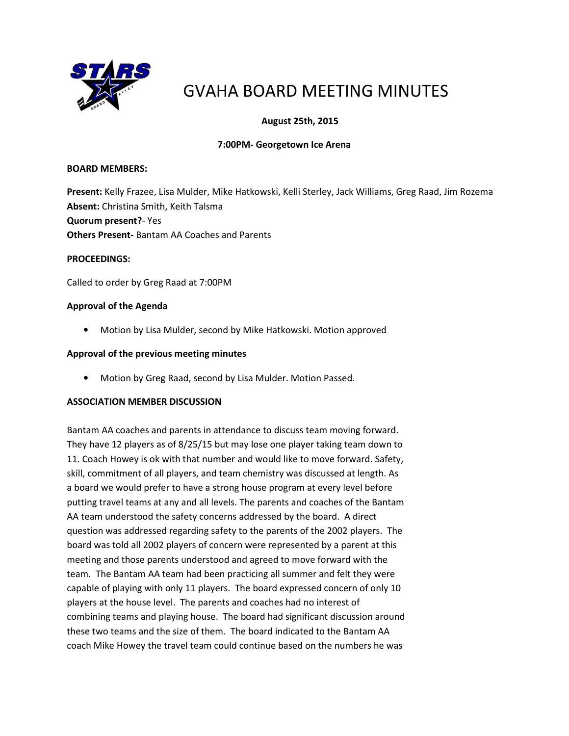

# GVAHA BOARD MEETING MINUTES

# August 25th, 2015

## 7:00PM- Georgetown Ice Arena

#### BOARD MEMBERS:

Present: Kelly Frazee, Lisa Mulder, Mike Hatkowski, Kelli Sterley, Jack Williams, Greg Raad, Jim Rozema Absent: Christina Smith, Keith Talsma Quorum present?- Yes Others Present- Bantam AA Coaches and Parents

#### PROCEEDINGS:

Called to order by Greg Raad at 7:00PM

#### Approval of the Agenda

• Motion by Lisa Mulder, second by Mike Hatkowski. Motion approved

#### Approval of the previous meeting minutes

• Motion by Greg Raad, second by Lisa Mulder. Motion Passed.

## ASSOCIATION MEMBER DISCUSSION

Bantam AA coaches and parents in attendance to discuss team moving forward. They have 12 players as of 8/25/15 but may lose one player taking team down to 11. Coach Howey is ok with that number and would like to move forward. Safety, skill, commitment of all players, and team chemistry was discussed at length. As a board we would prefer to have a strong house program at every level before putting travel teams at any and all levels. The parents and coaches of the Bantam AA team understood the safety concerns addressed by the board. A direct question was addressed regarding safety to the parents of the 2002 players. The board was told all 2002 players of concern were represented by a parent at this meeting and those parents understood and agreed to move forward with the team. The Bantam AA team had been practicing all summer and felt they were capable of playing with only 11 players. The board expressed concern of only 10 players at the house level. The parents and coaches had no interest of combining teams and playing house. The board had significant discussion around these two teams and the size of them. The board indicated to the Bantam AA coach Mike Howey the travel team could continue based on the numbers he was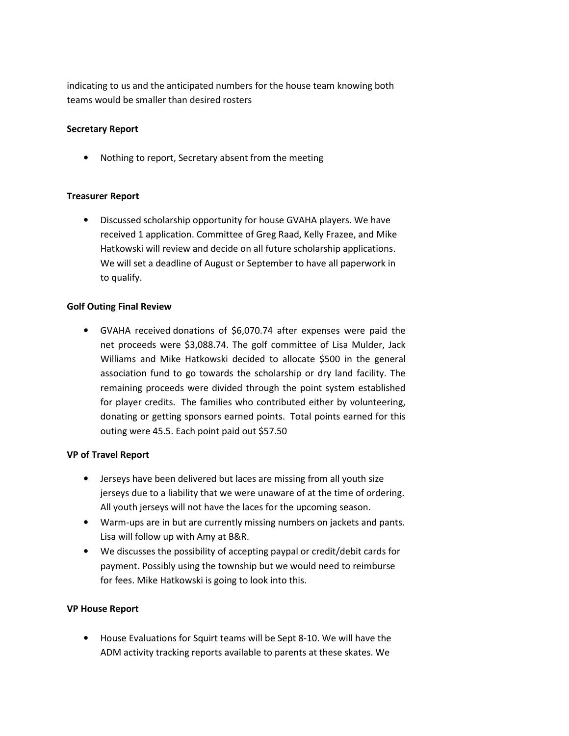indicating to us and the anticipated numbers for the house team knowing both teams would be smaller than desired rosters

## Secretary Report

• Nothing to report, Secretary absent from the meeting

## Treasurer Report

• Discussed scholarship opportunity for house GVAHA players. We have received 1 application. Committee of Greg Raad, Kelly Frazee, and Mike Hatkowski will review and decide on all future scholarship applications. We will set a deadline of August or September to have all paperwork in to qualify.

## Golf Outing Final Review

• GVAHA received donations of \$6,070.74 after expenses were paid the net proceeds were \$3,088.74. The golf committee of Lisa Mulder, Jack Williams and Mike Hatkowski decided to allocate \$500 in the general association fund to go towards the scholarship or dry land facility. The remaining proceeds were divided through the point system established for player credits. The families who contributed either by volunteering, donating or getting sponsors earned points. Total points earned for this outing were 45.5. Each point paid out \$57.50

## VP of Travel Report

- Jerseys have been delivered but laces are missing from all youth size jerseys due to a liability that we were unaware of at the time of ordering. All youth jerseys will not have the laces for the upcoming season.
- Warm-ups are in but are currently missing numbers on jackets and pants. Lisa will follow up with Amy at B&R.
- We discusses the possibility of accepting paypal or credit/debit cards for payment. Possibly using the township but we would need to reimburse for fees. Mike Hatkowski is going to look into this.

## VP House Report

• House Evaluations for Squirt teams will be Sept 8-10. We will have the ADM activity tracking reports available to parents at these skates. We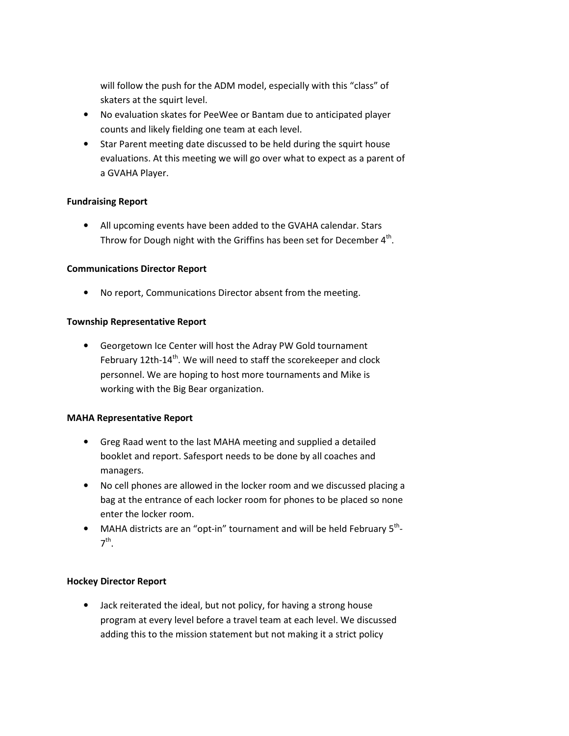will follow the push for the ADM model, especially with this "class" of skaters at the squirt level.

- No evaluation skates for PeeWee or Bantam due to anticipated player counts and likely fielding one team at each level.
- Star Parent meeting date discussed to be held during the squirt house evaluations. At this meeting we will go over what to expect as a parent of a GVAHA Player.

## Fundraising Report

• All upcoming events have been added to the GVAHA calendar. Stars Throw for Dough night with the Griffins has been set for December  $4<sup>th</sup>$ .

## Communications Director Report

• No report, Communications Director absent from the meeting.

## Township Representative Report

• Georgetown Ice Center will host the Adray PW Gold tournament February 12th-14<sup>th</sup>. We will need to staff the scorekeeper and clock personnel. We are hoping to host more tournaments and Mike is working with the Big Bear organization.

## MAHA Representative Report

- Greg Raad went to the last MAHA meeting and supplied a detailed booklet and report. Safesport needs to be done by all coaches and managers.
- No cell phones are allowed in the locker room and we discussed placing a bag at the entrance of each locker room for phones to be placed so none enter the locker room.
- MAHA districts are an "opt-in" tournament and will be held February  $5<sup>th</sup>$ -7 th .

## Hockey Director Report

• Jack reiterated the ideal, but not policy, for having a strong house program at every level before a travel team at each level. We discussed adding this to the mission statement but not making it a strict policy